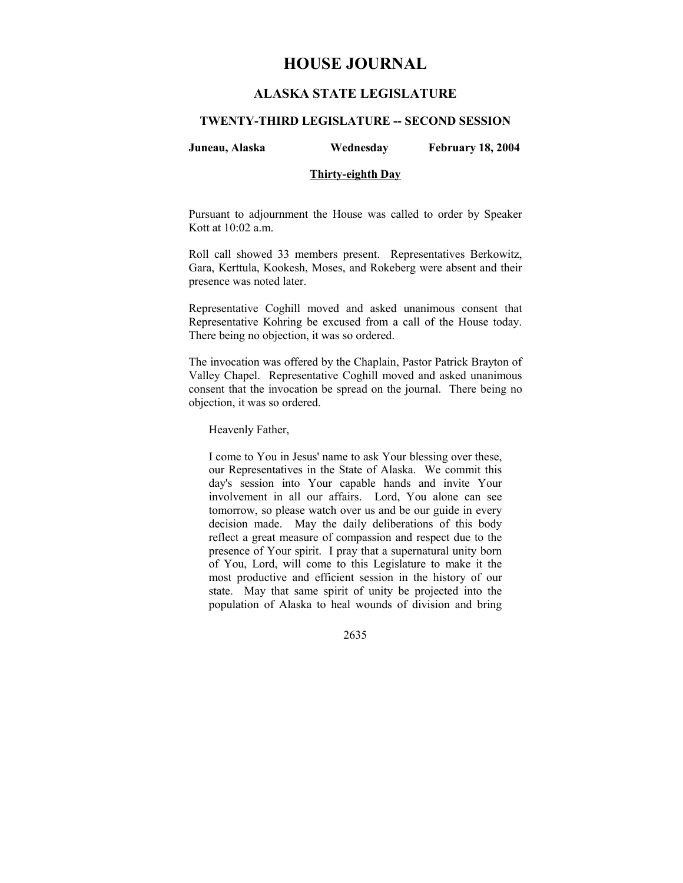# **HOUSE JOURNAL**

# **ALASKA STATE LEGISLATURE**

#### **TWENTY-THIRD LEGISLATURE -- SECOND SESSION**

### **Juneau, Alaska Wednesday February 18, 2004**

### **Thirty-eighth Day**

Pursuant to adjournment the House was called to order by Speaker Kott at 10:02 a.m.

Roll call showed 33 members present. Representatives Berkowitz, Gara, Kerttula, Kookesh, Moses, and Rokeberg were absent and their presence was noted later.

Representative Coghill moved and asked unanimous consent that Representative Kohring be excused from a call of the House today. There being no objection, it was so ordered.

The invocation was offered by the Chaplain, Pastor Patrick Brayton of Valley Chapel. Representative Coghill moved and asked unanimous consent that the invocation be spread on the journal. There being no objection, it was so ordered.

Heavenly Father,

I come to You in Jesus' name to ask Your blessing over these, our Representatives in the State of Alaska. We commit this day's session into Your capable hands and invite Your involvement in all our affairs. Lord, You alone can see tomorrow, so please watch over us and be our guide in every decision made. May the daily deliberations of this body reflect a great measure of compassion and respect due to the presence of Your spirit. I pray that a supernatural unity born of You, Lord, will come to this Legislature to make it the most productive and efficient session in the history of our state. May that same spirit of unity be projected into the population of Alaska to heal wounds of division and bring

2635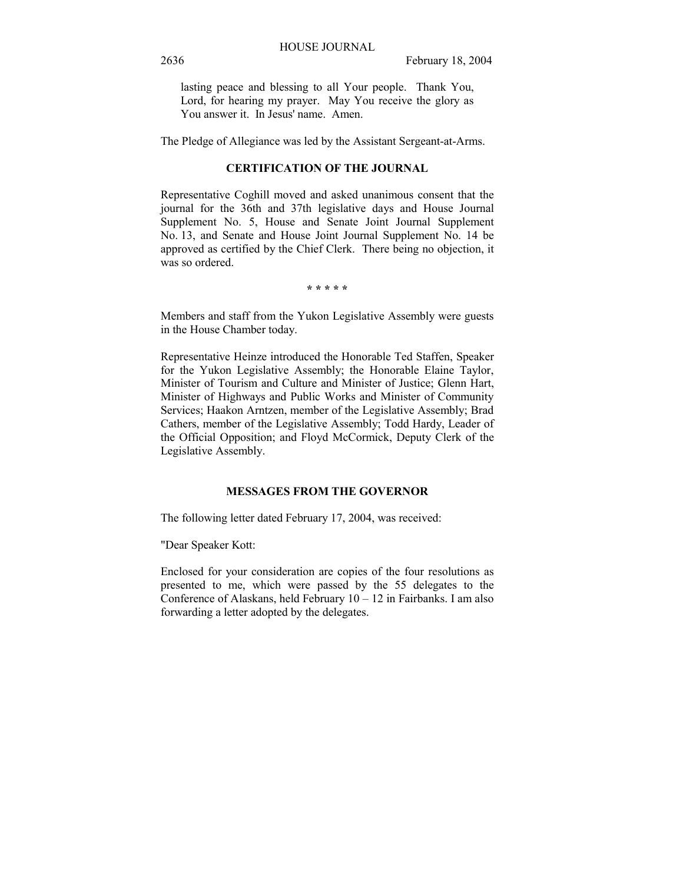lasting peace and blessing to all Your people. Thank You, Lord, for hearing my prayer. May You receive the glory as You answer it. In Jesus' name. Amen.

The Pledge of Allegiance was led by the Assistant Sergeant-at-Arms.

#### **CERTIFICATION OF THE JOURNAL**

Representative Coghill moved and asked unanimous consent that the journal for the 36th and 37th legislative days and House Journal Supplement No. 5, House and Senate Joint Journal Supplement No. 13, and Senate and House Joint Journal Supplement No. 14 be approved as certified by the Chief Clerk. There being no objection, it was so ordered.

**\* \* \* \* \***

Members and staff from the Yukon Legislative Assembly were guests in the House Chamber today.

Representative Heinze introduced the Honorable Ted Staffen, Speaker for the Yukon Legislative Assembly; the Honorable Elaine Taylor, Minister of Tourism and Culture and Minister of Justice; Glenn Hart, Minister of Highways and Public Works and Minister of Community Services; Haakon Arntzen, member of the Legislative Assembly; Brad Cathers, member of the Legislative Assembly; Todd Hardy, Leader of the Official Opposition; and Floyd McCormick, Deputy Clerk of the Legislative Assembly.

## **MESSAGES FROM THE GOVERNOR**

The following letter dated February 17, 2004, was received:

"Dear Speaker Kott:

Enclosed for your consideration are copies of the four resolutions as presented to me, which were passed by the 55 delegates to the Conference of Alaskans, held February  $10 - 12$  in Fairbanks. I am also forwarding a letter adopted by the delegates.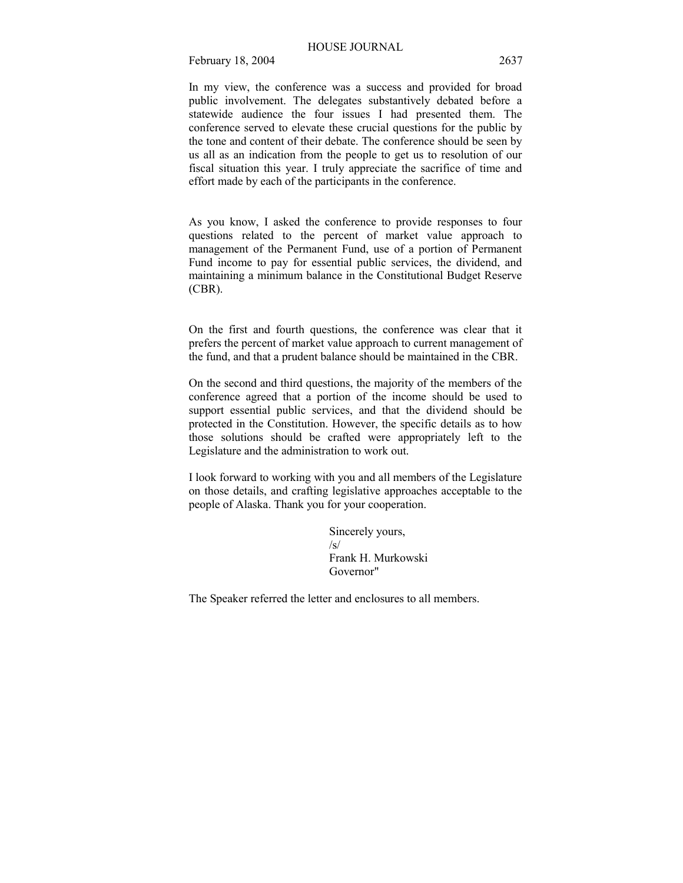In my view, the conference was a success and provided for broad public involvement. The delegates substantively debated before a statewide audience the four issues I had presented them. The conference served to elevate these crucial questions for the public by the tone and content of their debate. The conference should be seen by us all as an indication from the people to get us to resolution of our fiscal situation this year. I truly appreciate the sacrifice of time and effort made by each of the participants in the conference.

As you know, I asked the conference to provide responses to four questions related to the percent of market value approach to management of the Permanent Fund, use of a portion of Permanent Fund income to pay for essential public services, the dividend, and maintaining a minimum balance in the Constitutional Budget Reserve (CBR).

On the first and fourth questions, the conference was clear that it prefers the percent of market value approach to current management of the fund, and that a prudent balance should be maintained in the CBR.

On the second and third questions, the majority of the members of the conference agreed that a portion of the income should be used to support essential public services, and that the dividend should be protected in the Constitution. However, the specific details as to how those solutions should be crafted were appropriately left to the Legislature and the administration to work out.

I look forward to working with you and all members of the Legislature on those details, and crafting legislative approaches acceptable to the people of Alaska. Thank you for your cooperation.

> Sincerely yours,  $\sqrt{s}$ Frank H. Murkowski Governor"

The Speaker referred the letter and enclosures to all members.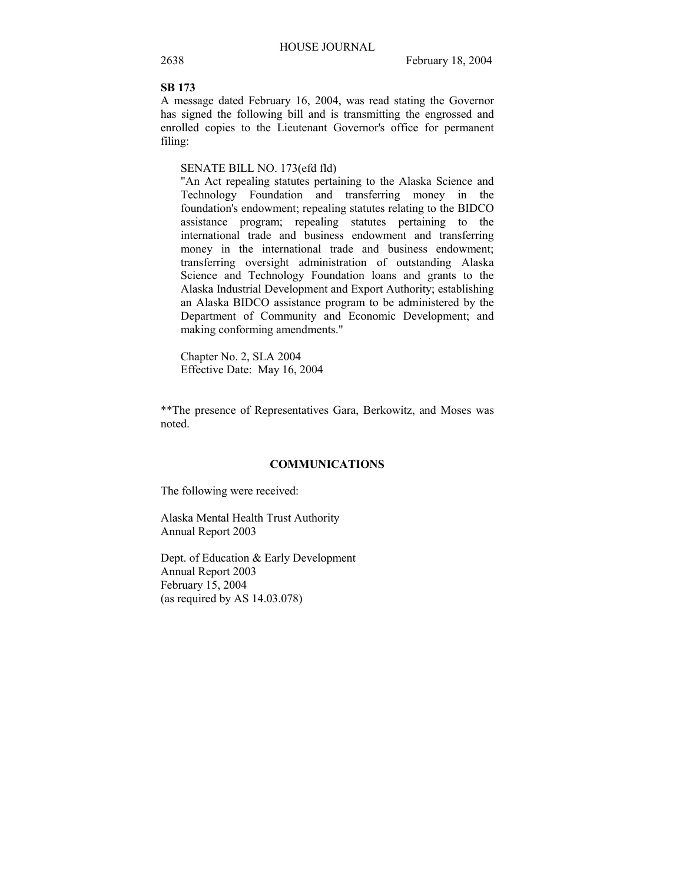# **SB 173**

A message dated February 16, 2004, was read stating the Governor has signed the following bill and is transmitting the engrossed and enrolled copies to the Lieutenant Governor's office for permanent filing:

# SENATE BILL NO. 173(efd fld)

"An Act repealing statutes pertaining to the Alaska Science and Technology Foundation and transferring money in the foundation's endowment; repealing statutes relating to the BIDCO assistance program; repealing statutes pertaining to the international trade and business endowment and transferring money in the international trade and business endowment; transferring oversight administration of outstanding Alaska Science and Technology Foundation loans and grants to the Alaska Industrial Development and Export Authority; establishing an Alaska BIDCO assistance program to be administered by the Department of Community and Economic Development; and making conforming amendments."

Chapter No. 2, SLA 2004 Effective Date: May 16, 2004

\*\*The presence of Representatives Gara, Berkowitz, and Moses was noted.

#### **COMMUNICATIONS**

The following were received:

Alaska Mental Health Trust Authority Annual Report 2003

Dept. of Education & Early Development Annual Report 2003 February 15, 2004 (as required by AS 14.03.078)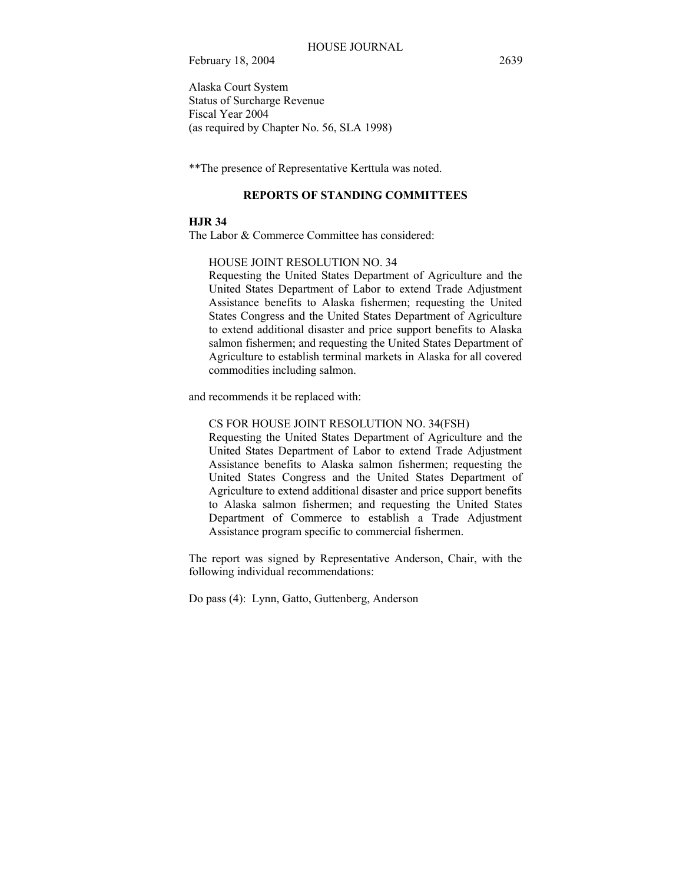Alaska Court System Status of Surcharge Revenue Fiscal Year 2004 (as required by Chapter No. 56, SLA 1998)

\*\*The presence of Representative Kerttula was noted.

## **REPORTS OF STANDING COMMITTEES**

# **HJR 34**

The Labor & Commerce Committee has considered:

HOUSE JOINT RESOLUTION NO. 34

Requesting the United States Department of Agriculture and the United States Department of Labor to extend Trade Adjustment Assistance benefits to Alaska fishermen; requesting the United States Congress and the United States Department of Agriculture to extend additional disaster and price support benefits to Alaska salmon fishermen; and requesting the United States Department of Agriculture to establish terminal markets in Alaska for all covered commodities including salmon.

and recommends it be replaced with:

### CS FOR HOUSE JOINT RESOLUTION NO. 34(FSH)

Requesting the United States Department of Agriculture and the United States Department of Labor to extend Trade Adjustment Assistance benefits to Alaska salmon fishermen; requesting the United States Congress and the United States Department of Agriculture to extend additional disaster and price support benefits to Alaska salmon fishermen; and requesting the United States Department of Commerce to establish a Trade Adjustment Assistance program specific to commercial fishermen.

The report was signed by Representative Anderson, Chair, with the following individual recommendations:

Do pass (4): Lynn, Gatto, Guttenberg, Anderson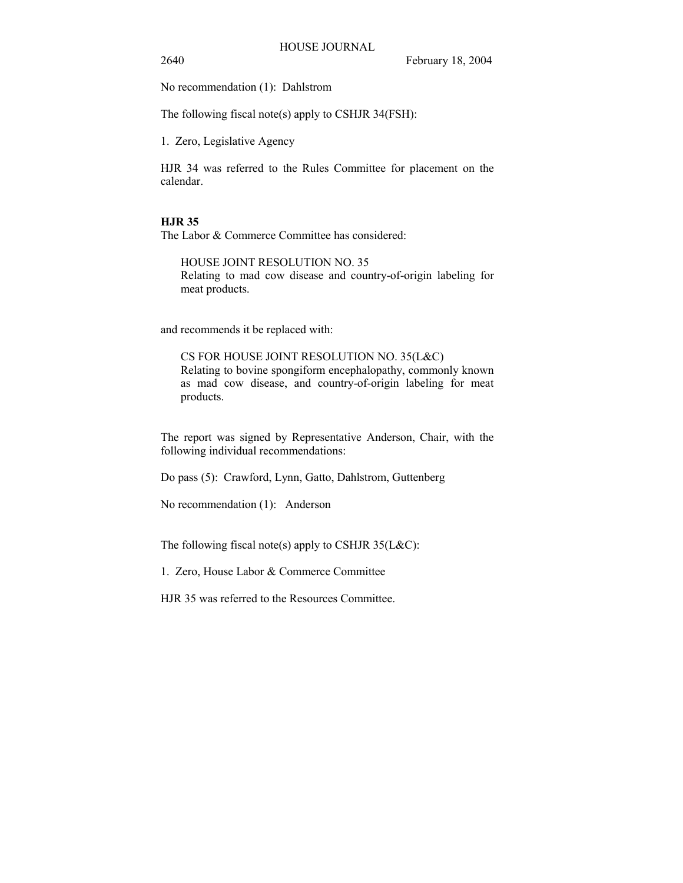2640 February 18, 2004

No recommendation (1): Dahlstrom

The following fiscal note(s) apply to CSHJR 34(FSH):

1. Zero, Legislative Agency

HJR 34 was referred to the Rules Committee for placement on the calendar.

# **HJR 35**

The Labor & Commerce Committee has considered:

HOUSE JOINT RESOLUTION NO. 35 Relating to mad cow disease and country-of-origin labeling for meat products.

and recommends it be replaced with:

CS FOR HOUSE JOINT RESOLUTION NO. 35(L&C) Relating to bovine spongiform encephalopathy, commonly known as mad cow disease, and country-of-origin labeling for meat products.

The report was signed by Representative Anderson, Chair, with the following individual recommendations:

Do pass (5): Crawford, Lynn, Gatto, Dahlstrom, Guttenberg

No recommendation (1): Anderson

The following fiscal note(s) apply to CSHJR  $35(L&C)$ :

1. Zero, House Labor & Commerce Committee

HJR 35 was referred to the Resources Committee.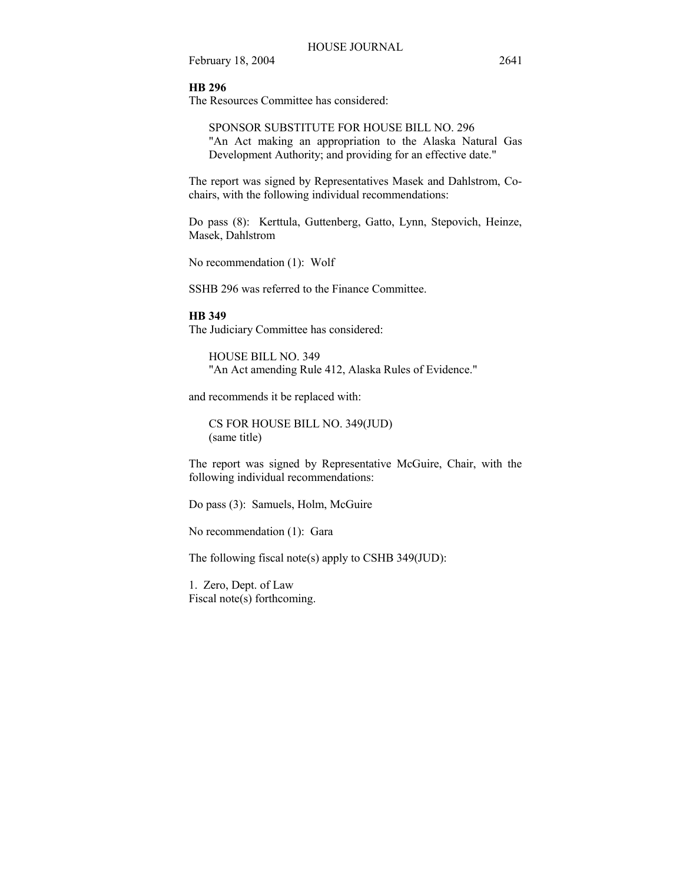#### **HB 296**

The Resources Committee has considered:

SPONSOR SUBSTITUTE FOR HOUSE BILL NO. 296 "An Act making an appropriation to the Alaska Natural Gas Development Authority; and providing for an effective date."

The report was signed by Representatives Masek and Dahlstrom, Cochairs, with the following individual recommendations:

Do pass (8): Kerttula, Guttenberg, Gatto, Lynn, Stepovich, Heinze, Masek, Dahlstrom

No recommendation (1): Wolf

SSHB 296 was referred to the Finance Committee.

# **HB 349**

The Judiciary Committee has considered:

HOUSE BILL NO. 349 "An Act amending Rule 412, Alaska Rules of Evidence."

and recommends it be replaced with:

CS FOR HOUSE BILL NO. 349(JUD) (same title)

The report was signed by Representative McGuire, Chair, with the following individual recommendations:

Do pass (3): Samuels, Holm, McGuire

No recommendation (1): Gara

The following fiscal note(s) apply to CSHB 349(JUD):

1. Zero, Dept. of Law Fiscal note(s) forthcoming.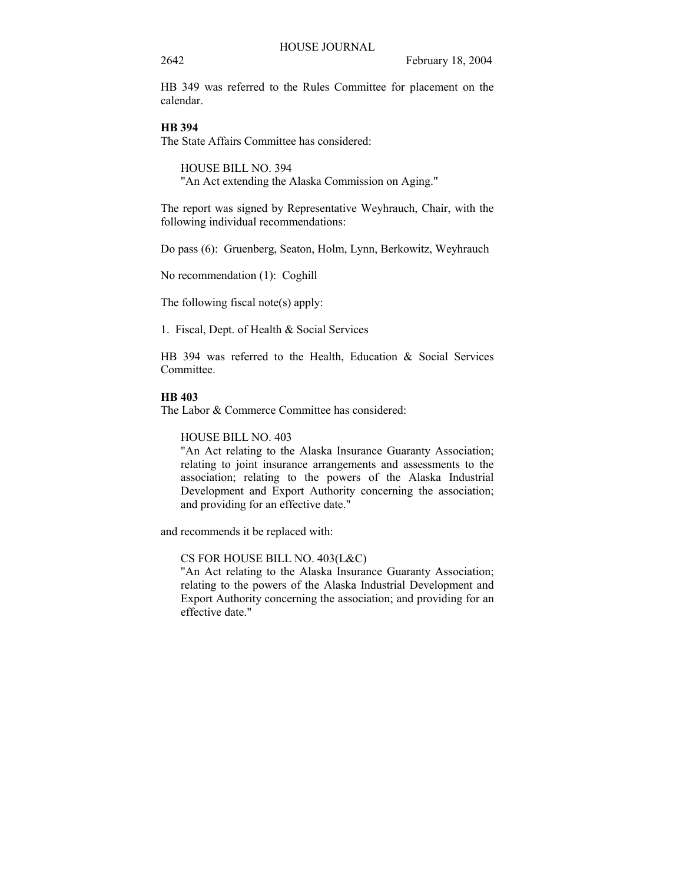HB 349 was referred to the Rules Committee for placement on the calendar.

# **HB 394**

The State Affairs Committee has considered:

HOUSE BILL NO. 394 "An Act extending the Alaska Commission on Aging."

The report was signed by Representative Weyhrauch, Chair, with the following individual recommendations:

Do pass (6): Gruenberg, Seaton, Holm, Lynn, Berkowitz, Weyhrauch

No recommendation (1): Coghill

The following fiscal note(s) apply:

1. Fiscal, Dept. of Health & Social Services

HB 394 was referred to the Health, Education & Social Services Committee.

#### **HB 403**

The Labor & Commerce Committee has considered:

HOUSE BILL NO. 403

"An Act relating to the Alaska Insurance Guaranty Association; relating to joint insurance arrangements and assessments to the association; relating to the powers of the Alaska Industrial Development and Export Authority concerning the association; and providing for an effective date."

and recommends it be replaced with:

CS FOR HOUSE BILL NO. 403(L&C)

"An Act relating to the Alaska Insurance Guaranty Association; relating to the powers of the Alaska Industrial Development and Export Authority concerning the association; and providing for an effective date."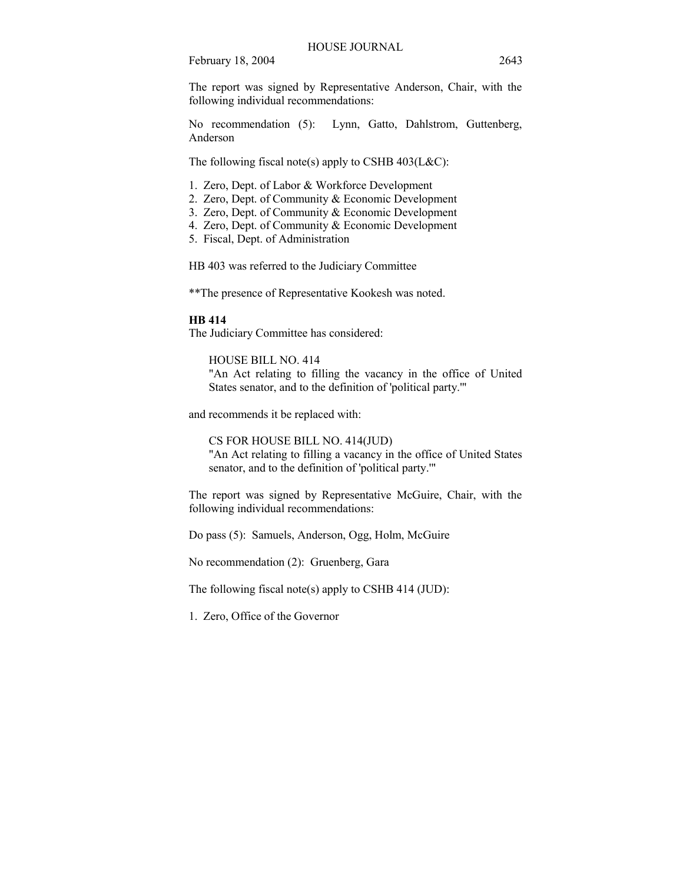The report was signed by Representative Anderson, Chair, with the following individual recommendations:

No recommendation (5): Lynn, Gatto, Dahlstrom, Guttenberg, Anderson

The following fiscal note(s) apply to CSHB  $403(L&C)$ :

1. Zero, Dept. of Labor & Workforce Development

- 2. Zero, Dept. of Community & Economic Development
- 3. Zero, Dept. of Community & Economic Development
- 4. Zero, Dept. of Community & Economic Development
- 5. Fiscal, Dept. of Administration

HB 403 was referred to the Judiciary Committee

\*\*The presence of Representative Kookesh was noted.

#### **HB 414**

The Judiciary Committee has considered:

HOUSE BILL NO. 414

"An Act relating to filling the vacancy in the office of United States senator, and to the definition of 'political party.'"

and recommends it be replaced with:

CS FOR HOUSE BILL NO. 414(JUD) "An Act relating to filling a vacancy in the office of United States senator, and to the definition of 'political party.'"

The report was signed by Representative McGuire, Chair, with the following individual recommendations:

Do pass (5): Samuels, Anderson, Ogg, Holm, McGuire

No recommendation (2): Gruenberg, Gara

The following fiscal note(s) apply to CSHB 414 (JUD):

1. Zero, Office of the Governor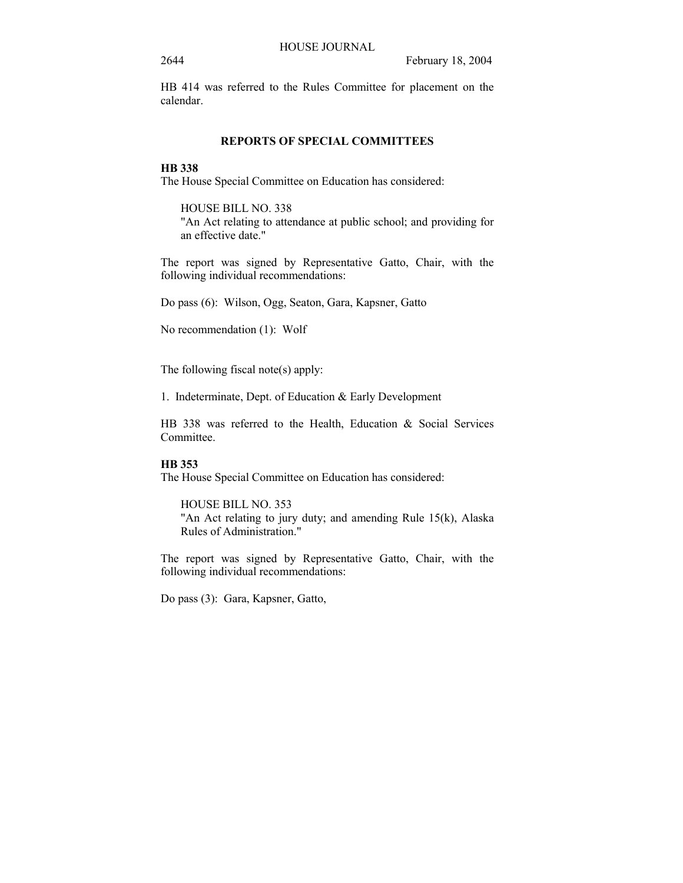HB 414 was referred to the Rules Committee for placement on the calendar.

## **REPORTS OF SPECIAL COMMITTEES**

# **HB 338**

The House Special Committee on Education has considered:

HOUSE BILL NO. 338 "An Act relating to attendance at public school; and providing for an effective date."

The report was signed by Representative Gatto, Chair, with the following individual recommendations:

Do pass (6): Wilson, Ogg, Seaton, Gara, Kapsner, Gatto

No recommendation (1): Wolf

The following fiscal note(s) apply:

1. Indeterminate, Dept. of Education & Early Development

HB 338 was referred to the Health, Education & Social Services Committee.

## **HB 353**

The House Special Committee on Education has considered:

HOUSE BILL NO. 353 "An Act relating to jury duty; and amending Rule 15(k), Alaska Rules of Administration."

The report was signed by Representative Gatto, Chair, with the following individual recommendations:

Do pass (3): Gara, Kapsner, Gatto,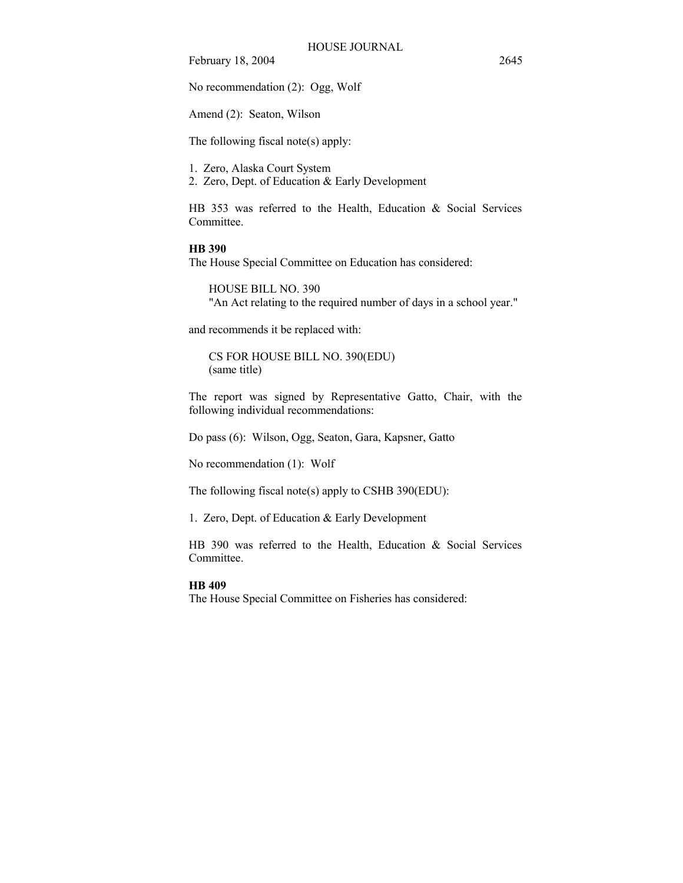No recommendation (2): Ogg, Wolf

Amend (2): Seaton, Wilson

The following fiscal note(s) apply:

1. Zero, Alaska Court System

2. Zero, Dept. of Education & Early Development

HB 353 was referred to the Health, Education & Social Services Committee.

# **HB 390**

The House Special Committee on Education has considered:

HOUSE BILL NO. 390 "An Act relating to the required number of days in a school year."

and recommends it be replaced with:

CS FOR HOUSE BILL NO. 390(EDU) (same title)

The report was signed by Representative Gatto, Chair, with the following individual recommendations:

Do pass (6): Wilson, Ogg, Seaton, Gara, Kapsner, Gatto

No recommendation (1): Wolf

The following fiscal note(s) apply to CSHB 390(EDU):

1. Zero, Dept. of Education & Early Development

HB 390 was referred to the Health, Education & Social Services Committee.

#### **HB 409**

The House Special Committee on Fisheries has considered: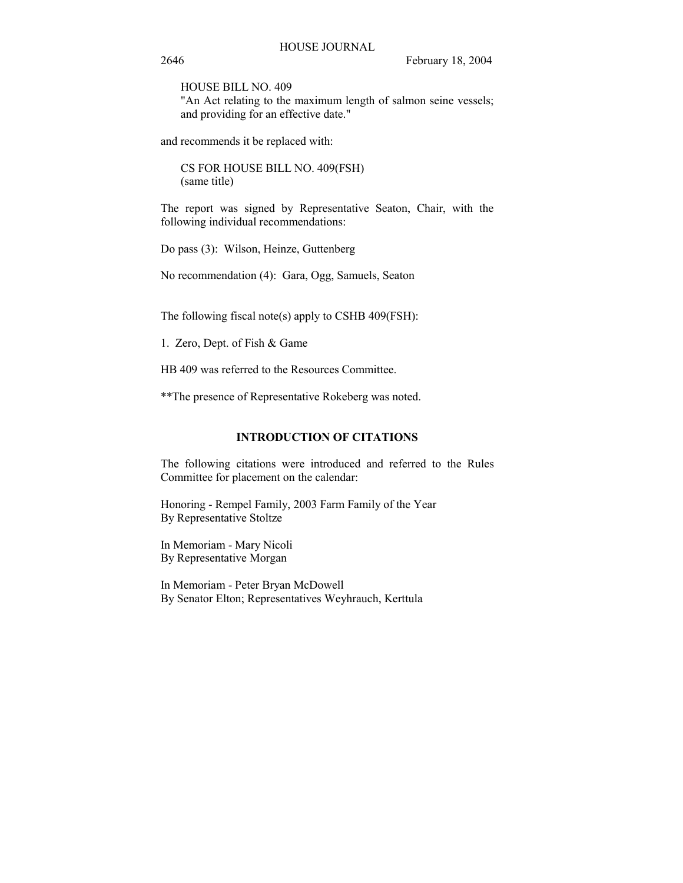HOUSE BILL NO. 409

"An Act relating to the maximum length of salmon seine vessels; and providing for an effective date."

and recommends it be replaced with:

CS FOR HOUSE BILL NO. 409(FSH) (same title)

The report was signed by Representative Seaton, Chair, with the following individual recommendations:

Do pass (3): Wilson, Heinze, Guttenberg

No recommendation (4): Gara, Ogg, Samuels, Seaton

The following fiscal note(s) apply to CSHB 409(FSH):

1. Zero, Dept. of Fish & Game

HB 409 was referred to the Resources Committee.

\*\*The presence of Representative Rokeberg was noted.

# **INTRODUCTION OF CITATIONS**

The following citations were introduced and referred to the Rules Committee for placement on the calendar:

Honoring - Rempel Family, 2003 Farm Family of the Year By Representative Stoltze

In Memoriam - Mary Nicoli By Representative Morgan

In Memoriam - Peter Bryan McDowell By Senator Elton; Representatives Weyhrauch, Kerttula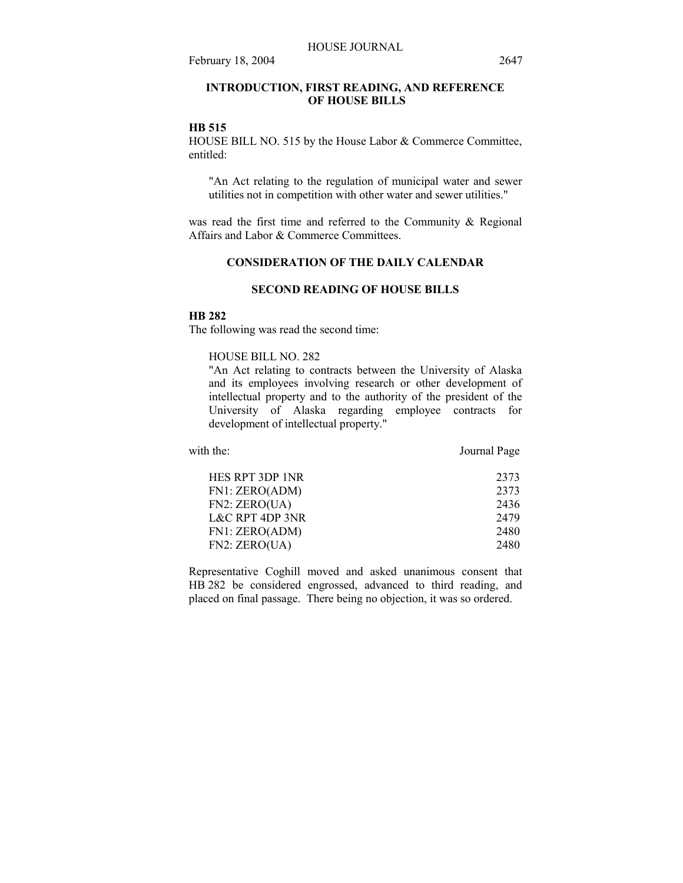# **INTRODUCTION, FIRST READING, AND REFERENCE OF HOUSE BILLS**

### **HB 515**

HOUSE BILL NO. 515 by the House Labor & Commerce Committee, entitled:

"An Act relating to the regulation of municipal water and sewer utilities not in competition with other water and sewer utilities."

was read the first time and referred to the Community & Regional Affairs and Labor & Commerce Committees.

## **CONSIDERATION OF THE DAILY CALENDAR**

# **SECOND READING OF HOUSE BILLS**

# **HB 282**

The following was read the second time:

# HOUSE BILL NO. 282

"An Act relating to contracts between the University of Alaska and its employees involving research or other development of intellectual property and to the authority of the president of the University of Alaska regarding employee contracts for development of intellectual property."

| with the:                  | Journal Page |
|----------------------------|--------------|
| HES RPT 3DP 1NR            | 2373         |
| FN1: ZERO(ADM)             | 2373         |
| FN2: ZERO(UA)              | 2436         |
| <b>L&amp;C RPT 4DP 3NR</b> | 2479         |
| FN1: ZERO(ADM)             | 2480         |
| FN2: ZERO(UA)              | 2480         |
|                            |              |

Representative Coghill moved and asked unanimous consent that HB 282 be considered engrossed, advanced to third reading, and placed on final passage. There being no objection, it was so ordered.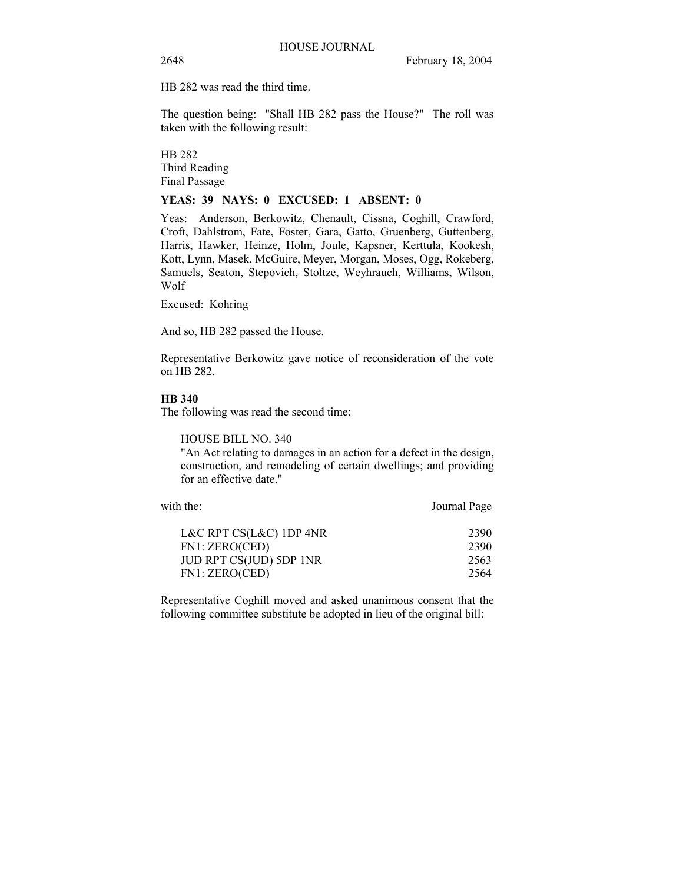HB 282 was read the third time.

The question being: "Shall HB 282 pass the House?" The roll was taken with the following result:

HB 282 Third Reading Final Passage

### **YEAS: 39 NAYS: 0 EXCUSED: 1 ABSENT: 0**

Yeas: Anderson, Berkowitz, Chenault, Cissna, Coghill, Crawford, Croft, Dahlstrom, Fate, Foster, Gara, Gatto, Gruenberg, Guttenberg, Harris, Hawker, Heinze, Holm, Joule, Kapsner, Kerttula, Kookesh, Kott, Lynn, Masek, McGuire, Meyer, Morgan, Moses, Ogg, Rokeberg, Samuels, Seaton, Stepovich, Stoltze, Weyhrauch, Williams, Wilson, Wolf

Excused: Kohring

And so, HB 282 passed the House.

Representative Berkowitz gave notice of reconsideration of the vote on HB 282.

# **HB 340**

The following was read the second time:

HOUSE BILL NO. 340

"An Act relating to damages in an action for a defect in the design, construction, and remodeling of certain dwellings; and providing for an effective date."

| with the:                 | Journal Page |
|---------------------------|--------------|
| L&C RPT $CS(L&C)$ 1DP 4NR | 2390         |
| FN1: ZERO(CED)            | 2390         |
| JUD RPT CS(JUD) 5DP 1NR   | 2563         |
| FN1: ZERO(CED)            | 2564         |

Representative Coghill moved and asked unanimous consent that the following committee substitute be adopted in lieu of the original bill: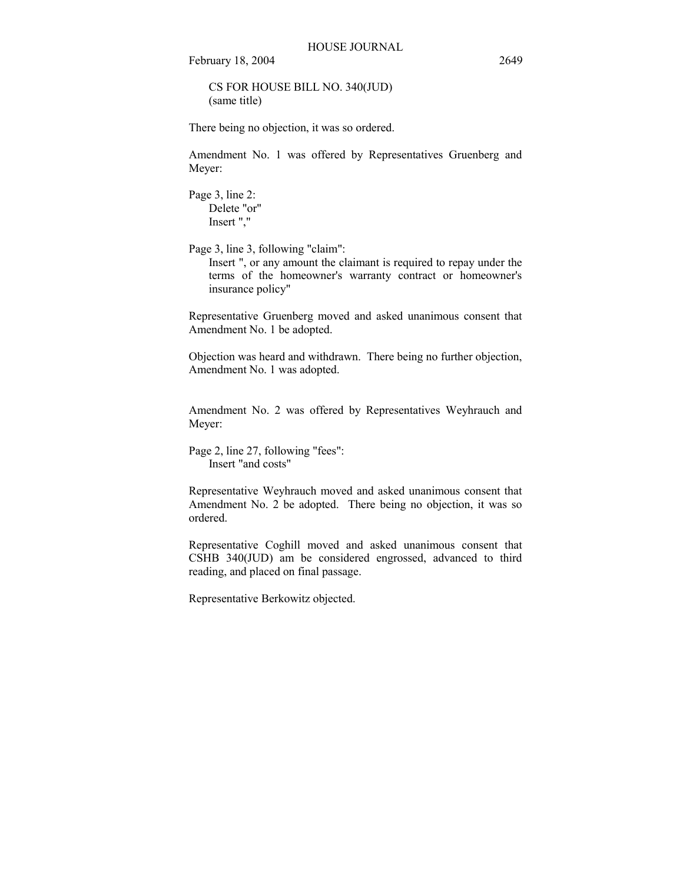CS FOR HOUSE BILL NO. 340(JUD) (same title)

There being no objection, it was so ordered.

Amendment No. 1 was offered by Representatives Gruenberg and Meyer:

Page 3, line 2: Delete "or" Insert ","

Page 3, line 3, following "claim":

Insert ", or any amount the claimant is required to repay under the terms of the homeowner's warranty contract or homeowner's insurance policy"

Representative Gruenberg moved and asked unanimous consent that Amendment No. 1 be adopted.

Objection was heard and withdrawn. There being no further objection, Amendment No. 1 was adopted.

Amendment No. 2 was offered by Representatives Weyhrauch and Meyer:

Page 2, line 27, following "fees": Insert "and costs"

Representative Weyhrauch moved and asked unanimous consent that Amendment No. 2 be adopted. There being no objection, it was so ordered.

Representative Coghill moved and asked unanimous consent that CSHB 340(JUD) am be considered engrossed, advanced to third reading, and placed on final passage.

Representative Berkowitz objected.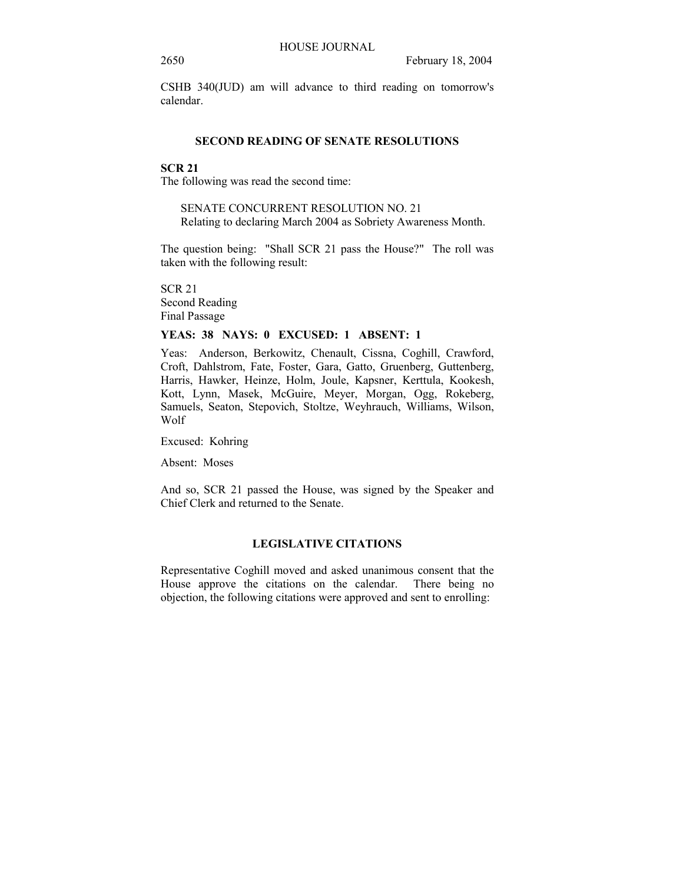CSHB 340(JUD) am will advance to third reading on tomorrow's calendar.

#### **SECOND READING OF SENATE RESOLUTIONS**

# **SCR 21**

The following was read the second time:

SENATE CONCURRENT RESOLUTION NO. 21 Relating to declaring March 2004 as Sobriety Awareness Month.

The question being: "Shall SCR 21 pass the House?" The roll was taken with the following result:

SCR 21 Second Reading Final Passage

## **YEAS: 38 NAYS: 0 EXCUSED: 1 ABSENT: 1**

Yeas: Anderson, Berkowitz, Chenault, Cissna, Coghill, Crawford, Croft, Dahlstrom, Fate, Foster, Gara, Gatto, Gruenberg, Guttenberg, Harris, Hawker, Heinze, Holm, Joule, Kapsner, Kerttula, Kookesh, Kott, Lynn, Masek, McGuire, Meyer, Morgan, Ogg, Rokeberg, Samuels, Seaton, Stepovich, Stoltze, Weyhrauch, Williams, Wilson, Wolf

Excused: Kohring

Absent: Moses

And so, SCR 21 passed the House, was signed by the Speaker and Chief Clerk and returned to the Senate.

## **LEGISLATIVE CITATIONS**

Representative Coghill moved and asked unanimous consent that the House approve the citations on the calendar. There being no objection, the following citations were approved and sent to enrolling: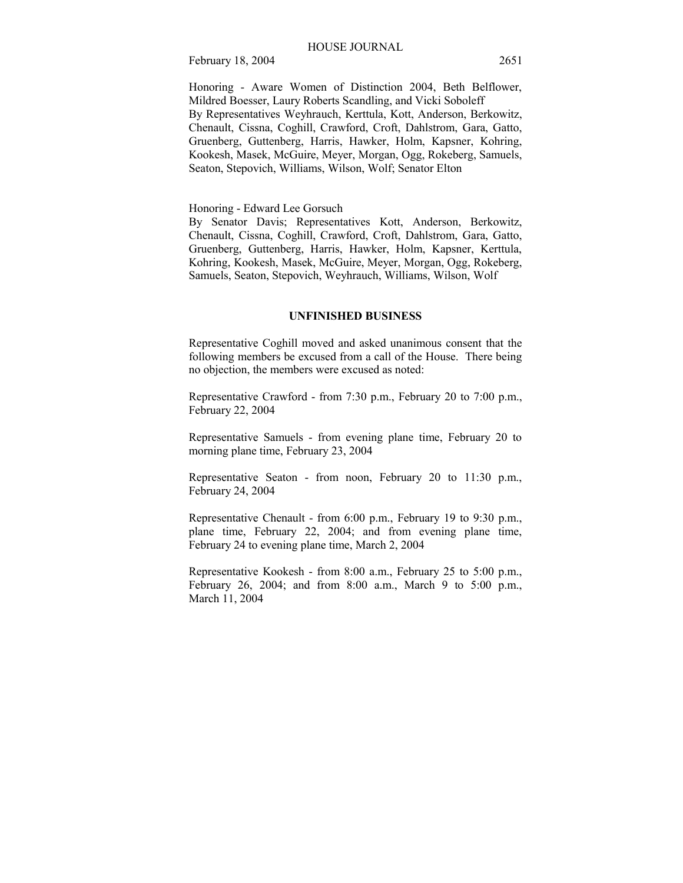Honoring - Aware Women of Distinction 2004, Beth Belflower, Mildred Boesser, Laury Roberts Scandling, and Vicki Soboleff By Representatives Weyhrauch, Kerttula, Kott, Anderson, Berkowitz, Chenault, Cissna, Coghill, Crawford, Croft, Dahlstrom, Gara, Gatto, Gruenberg, Guttenberg, Harris, Hawker, Holm, Kapsner, Kohring, Kookesh, Masek, McGuire, Meyer, Morgan, Ogg, Rokeberg, Samuels, Seaton, Stepovich, Williams, Wilson, Wolf; Senator Elton

Honoring - Edward Lee Gorsuch

By Senator Davis; Representatives Kott, Anderson, Berkowitz, Chenault, Cissna, Coghill, Crawford, Croft, Dahlstrom, Gara, Gatto, Gruenberg, Guttenberg, Harris, Hawker, Holm, Kapsner, Kerttula, Kohring, Kookesh, Masek, McGuire, Meyer, Morgan, Ogg, Rokeberg, Samuels, Seaton, Stepovich, Weyhrauch, Williams, Wilson, Wolf

#### **UNFINISHED BUSINESS**

Representative Coghill moved and asked unanimous consent that the following members be excused from a call of the House. There being no objection, the members were excused as noted:

Representative Crawford - from 7:30 p.m., February 20 to 7:00 p.m., February 22, 2004

Representative Samuels - from evening plane time, February 20 to morning plane time, February 23, 2004

Representative Seaton - from noon, February 20 to 11:30 p.m., February 24, 2004

Representative Chenault - from 6:00 p.m., February 19 to 9:30 p.m., plane time, February 22, 2004; and from evening plane time, February 24 to evening plane time, March 2, 2004

Representative Kookesh - from 8:00 a.m., February 25 to 5:00 p.m., February 26, 2004; and from 8:00 a.m., March 9 to 5:00 p.m., March 11, 2004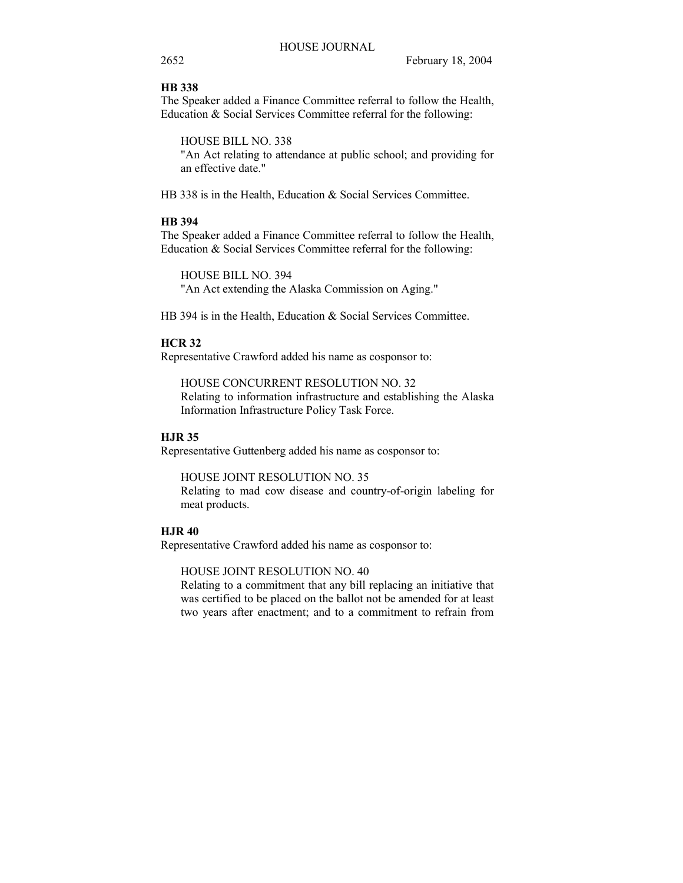# **HB 338**

The Speaker added a Finance Committee referral to follow the Health, Education & Social Services Committee referral for the following:

HOUSE BILL NO. 338

"An Act relating to attendance at public school; and providing for an effective date."

HB 338 is in the Health, Education & Social Services Committee.

# **HB 394**

The Speaker added a Finance Committee referral to follow the Health, Education & Social Services Committee referral for the following:

HOUSE BILL NO. 394 "An Act extending the Alaska Commission on Aging."

HB 394 is in the Health, Education & Social Services Committee.

# **HCR 32**

Representative Crawford added his name as cosponsor to:

HOUSE CONCURRENT RESOLUTION NO. 32 Relating to information infrastructure and establishing the Alaska Information Infrastructure Policy Task Force.

# **HJR 35**

Representative Guttenberg added his name as cosponsor to:

HOUSE JOINT RESOLUTION NO. 35 Relating to mad cow disease and country-of-origin labeling for meat products.

#### **HJR 40**

Representative Crawford added his name as cosponsor to:

HOUSE JOINT RESOLUTION NO. 40

Relating to a commitment that any bill replacing an initiative that was certified to be placed on the ballot not be amended for at least two years after enactment; and to a commitment to refrain from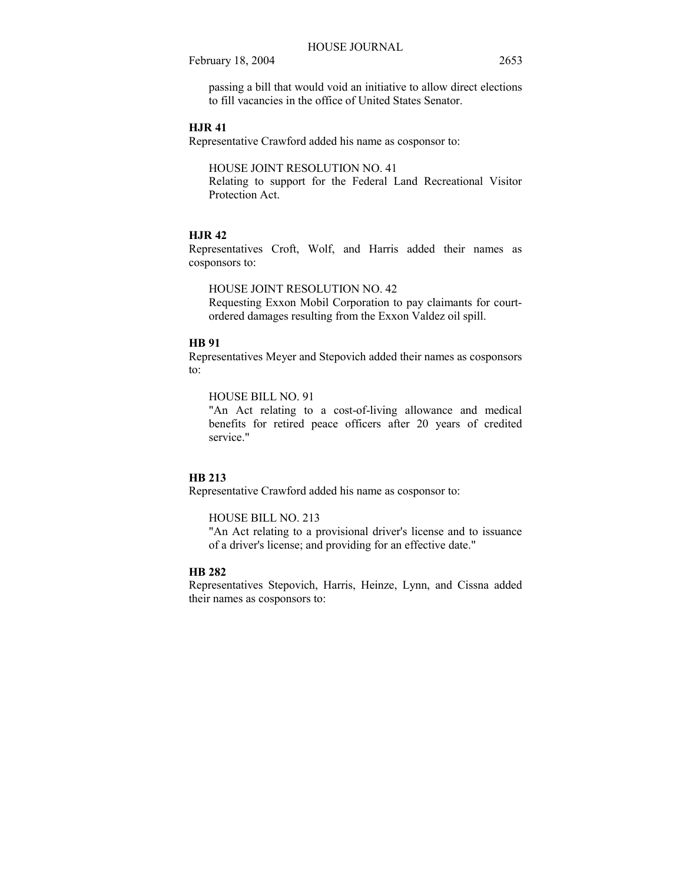passing a bill that would void an initiative to allow direct elections to fill vacancies in the office of United States Senator.

# **HJR 41**

Representative Crawford added his name as cosponsor to:

#### HOUSE JOINT RESOLUTION NO. 41

Relating to support for the Federal Land Recreational Visitor Protection Act.

#### **HJR 42**

Representatives Croft, Wolf, and Harris added their names as cosponsors to:

# HOUSE JOINT RESOLUTION NO. 42

Requesting Exxon Mobil Corporation to pay claimants for courtordered damages resulting from the Exxon Valdez oil spill.

# **HB 91**

Representatives Meyer and Stepovich added their names as cosponsors to:

#### HOUSE BILL NO. 91

"An Act relating to a cost-of-living allowance and medical benefits for retired peace officers after 20 years of credited service."

# **HB 213**

Representative Crawford added his name as cosponsor to:

#### HOUSE BILL NO. 213

"An Act relating to a provisional driver's license and to issuance of a driver's license; and providing for an effective date."

# **HB 282**

Representatives Stepovich, Harris, Heinze, Lynn, and Cissna added their names as cosponsors to: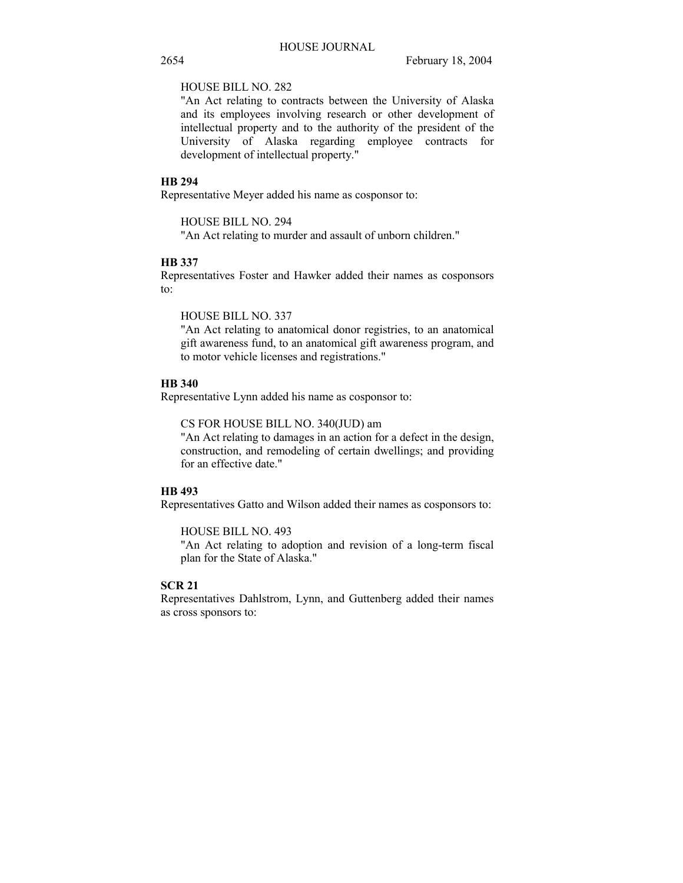# HOUSE BILL NO. 282

"An Act relating to contracts between the University of Alaska and its employees involving research or other development of intellectual property and to the authority of the president of the University of Alaska regarding employee contracts for development of intellectual property."

#### **HB 294**

Representative Meyer added his name as cosponsor to:

# HOUSE BILL NO. 294

"An Act relating to murder and assault of unborn children."

# **HB 337**

Representatives Foster and Hawker added their names as cosponsors to:

HOUSE BILL NO. 337

"An Act relating to anatomical donor registries, to an anatomical gift awareness fund, to an anatomical gift awareness program, and to motor vehicle licenses and registrations."

# **HB 340**

Representative Lynn added his name as cosponsor to:

CS FOR HOUSE BILL NO. 340(JUD) am

"An Act relating to damages in an action for a defect in the design, construction, and remodeling of certain dwellings; and providing for an effective date."

# **HB 493**

Representatives Gatto and Wilson added their names as cosponsors to:

HOUSE BILL NO. 493

"An Act relating to adoption and revision of a long-term fiscal plan for the State of Alaska."

# **SCR 21**

Representatives Dahlstrom, Lynn, and Guttenberg added their names as cross sponsors to: